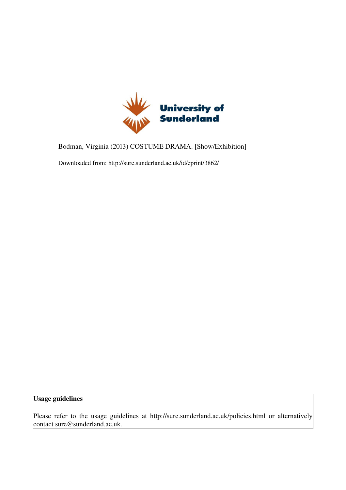

Bodman, Virginia (2013) COSTUME DRAMA. [Show/Exhibition]

Downloaded from: http://sure.sunderland.ac.uk/id/eprint/3862/

## Usage guidelines

Please refer to the usage guidelines at http://sure.sunderland.ac.uk/policies.html or alternatively contact sure@sunderland.ac.uk.